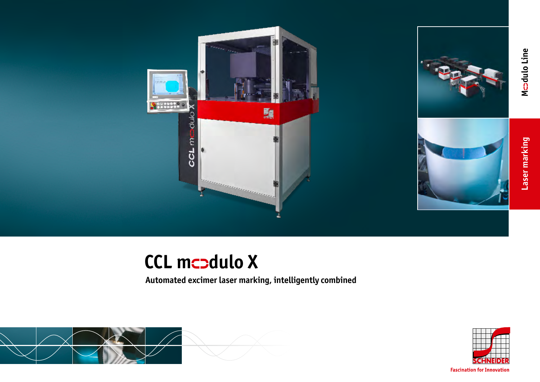

# **CCL mcodulo X**

**Automated excimer laser marking, intelligently combined**





**Fascination for Innovation**